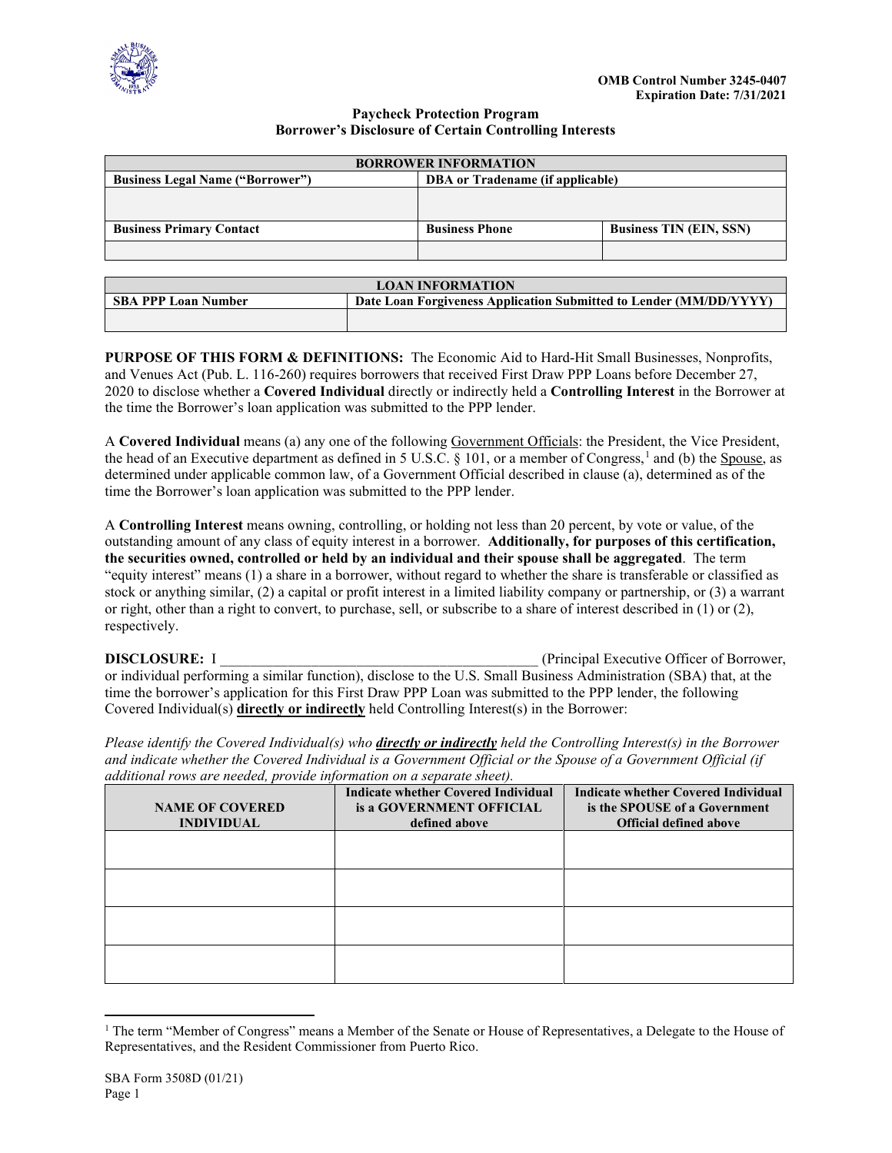

## **Paycheck Protection Program Borrower's Disclosure of Certain Controlling Interests**

| <b>BORROWER INFORMATION</b>             |                                  |                                |  |  |
|-----------------------------------------|----------------------------------|--------------------------------|--|--|
| <b>Business Legal Name ("Borrower")</b> | DBA or Tradename (if applicable) |                                |  |  |
|                                         |                                  |                                |  |  |
|                                         |                                  |                                |  |  |
| <b>Business Primary Contact</b>         | <b>Business Phone</b>            | <b>Business TIN (EIN, SSN)</b> |  |  |
|                                         |                                  |                                |  |  |

| <b>LOAN INFORMATION</b>    |                                                                    |  |  |
|----------------------------|--------------------------------------------------------------------|--|--|
| <b>SBA PPP Loan Number</b> | Date Loan Forgiveness Application Submitted to Lender (MM/DD/YYYY) |  |  |
|                            |                                                                    |  |  |

**PURPOSE OF THIS FORM & DEFINITIONS:** The Economic Aid to Hard-Hit Small Businesses, Nonprofits, and Venues Act (Pub. L. 116-260) requires borrowers that received First Draw PPP Loans before December 27, 2020 to disclose whether a **Covered Individual** directly or indirectly held a **Controlling Interest** in the Borrower at the time the Borrower's loan application was submitted to the PPP lender.

A **Covered Individual** means (a) any one of the following Government Officials: the President, the Vice President, the head of an Executive department as defined in 5 U.S.C.  $\S$  [1](#page-0-0)01, or a member of Congress,<sup>1</sup> and (b) the Spouse, as determined under applicable common law, of a Government Official described in clause (a), determined as of the time the Borrower's loan application was submitted to the PPP lender.

A **Controlling Interest** means owning, controlling, or holding not less than 20 percent, by vote or value, of the outstanding amount of any class of equity interest in a borrower. **Additionally, for purposes of this certification, the securities owned, controlled or held by an individual and their spouse shall be aggregated**. The term "equity interest" means (1) a share in a borrower, without regard to whether the share is transferable or classified as stock or anything similar, (2) a capital or profit interest in a limited liability company or partnership, or (3) a warrant or right, other than a right to convert, to purchase, sell, or subscribe to a share of interest described in (1) or (2), respectively.

**DISCLOSURE:** I **Supplementary 1 and Security Contract (Principal Executive Officer of Borrower, 1 and 2007)** or individual performing a similar function), disclose to the U.S. Small Business Administration (SBA) that, at the time the borrower's application for this First Draw PPP Loan was submitted to the PPP lender, the following Covered Individual(s) **directly or indirectly** held Controlling Interest(s) in the Borrower:

*Please identify the Covered Individual(s) who directly or indirectly held the Controlling Interest(s) in the Borrower and indicate whether the Covered Individual is a Government Official or the Spouse of a Government Official (if additional rows are needed, provide information on a separate sheet).*

| <b>NAME OF COVERED</b><br><b>INDIVIDUAL</b> | <b>Indicate whether Covered Individual</b><br>is a GOVERNMENT OFFICIAL<br>defined above | <b>Indicate whether Covered Individual</b><br>is the SPOUSE of a Government<br><b>Official defined above</b> |
|---------------------------------------------|-----------------------------------------------------------------------------------------|--------------------------------------------------------------------------------------------------------------|
|                                             |                                                                                         |                                                                                                              |
|                                             |                                                                                         |                                                                                                              |
|                                             |                                                                                         |                                                                                                              |
|                                             |                                                                                         |                                                                                                              |

<span id="page-0-0"></span><sup>&</sup>lt;sup>1</sup> The term "Member of Congress" means a Member of the Senate or House of Representatives, a Delegate to the House of Representatives, and the Resident Commissioner from Puerto Rico.